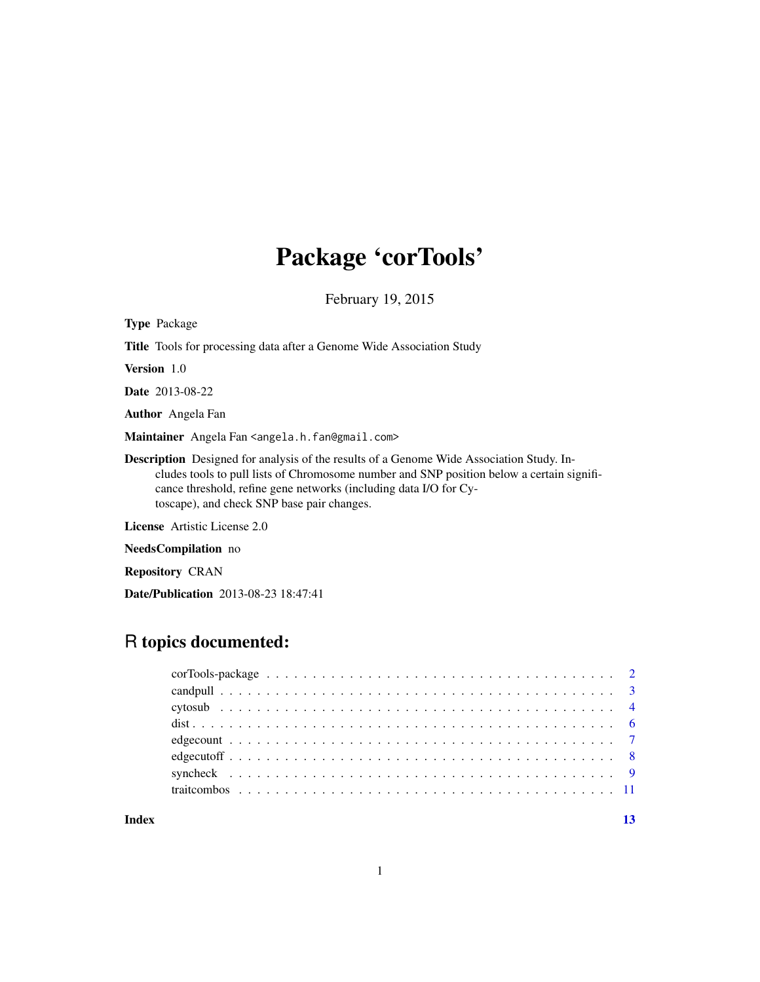## Package 'corTools'

February 19, 2015

| <b>Type Package</b>                                                                                                                                                                                                                                                                                             |
|-----------------------------------------------------------------------------------------------------------------------------------------------------------------------------------------------------------------------------------------------------------------------------------------------------------------|
| <b>Title</b> Tools for processing data after a Genome Wide Association Study                                                                                                                                                                                                                                    |
| <b>Version</b> 1.0                                                                                                                                                                                                                                                                                              |
| <b>Date</b> 2013-08-22                                                                                                                                                                                                                                                                                          |
| <b>Author</b> Angela Fan                                                                                                                                                                                                                                                                                        |
| Maintainer Angela Fan <angela.h.fan@gmail.com></angela.h.fan@gmail.com>                                                                                                                                                                                                                                         |
| <b>Description</b> Designed for analysis of the results of a Genome Wide Association Study. In-<br>cludes tools to pull lists of Chromosome number and SNP position below a certain signifi-<br>cance threshold, refine gene networks (including data I/O for Cy-<br>toscape), and check SNP base pair changes. |
| License Artistic License 2.0                                                                                                                                                                                                                                                                                    |
|                                                                                                                                                                                                                                                                                                                 |

NeedsCompilation no

Repository CRAN

Date/Publication 2013-08-23 18:47:41

### R topics documented:

| Index |  |
|-------|--|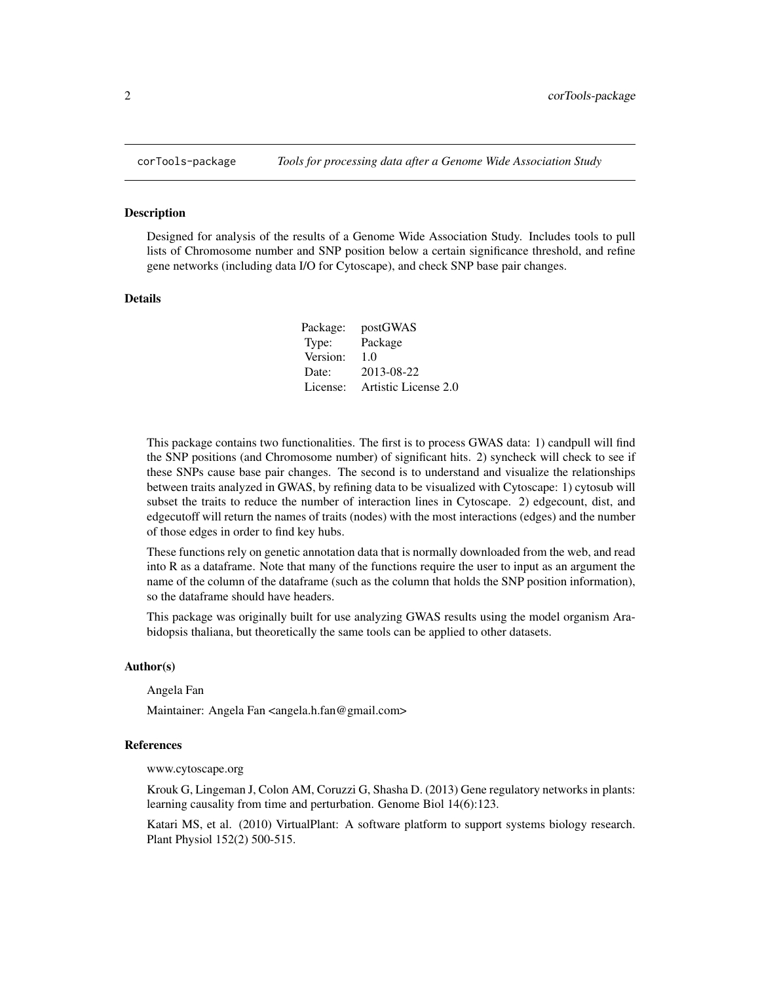<span id="page-1-0"></span>

#### Description

Designed for analysis of the results of a Genome Wide Association Study. Includes tools to pull lists of Chromosome number and SNP position below a certain significance threshold, and refine gene networks (including data I/O for Cytoscape), and check SNP base pair changes.

#### Details

| postGWAS             |
|----------------------|
| Package              |
| 1.0                  |
| 2013-08-22           |
| Artistic License 2.0 |
|                      |

This package contains two functionalities. The first is to process GWAS data: 1) candpull will find the SNP positions (and Chromosome number) of significant hits. 2) syncheck will check to see if these SNPs cause base pair changes. The second is to understand and visualize the relationships between traits analyzed in GWAS, by refining data to be visualized with Cytoscape: 1) cytosub will subset the traits to reduce the number of interaction lines in Cytoscape. 2) edgecount, dist, and edgecutoff will return the names of traits (nodes) with the most interactions (edges) and the number of those edges in order to find key hubs.

These functions rely on genetic annotation data that is normally downloaded from the web, and read into R as a dataframe. Note that many of the functions require the user to input as an argument the name of the column of the dataframe (such as the column that holds the SNP position information), so the dataframe should have headers.

This package was originally built for use analyzing GWAS results using the model organism Arabidopsis thaliana, but theoretically the same tools can be applied to other datasets.

#### Author(s)

Angela Fan

Maintainer: Angela Fan <angela.h.fan@gmail.com>

#### References

www.cytoscape.org

Krouk G, Lingeman J, Colon AM, Coruzzi G, Shasha D. (2013) Gene regulatory networks in plants: learning causality from time and perturbation. Genome Biol 14(6):123.

Katari MS, et al. (2010) VirtualPlant: A software platform to support systems biology research. Plant Physiol 152(2) 500-515.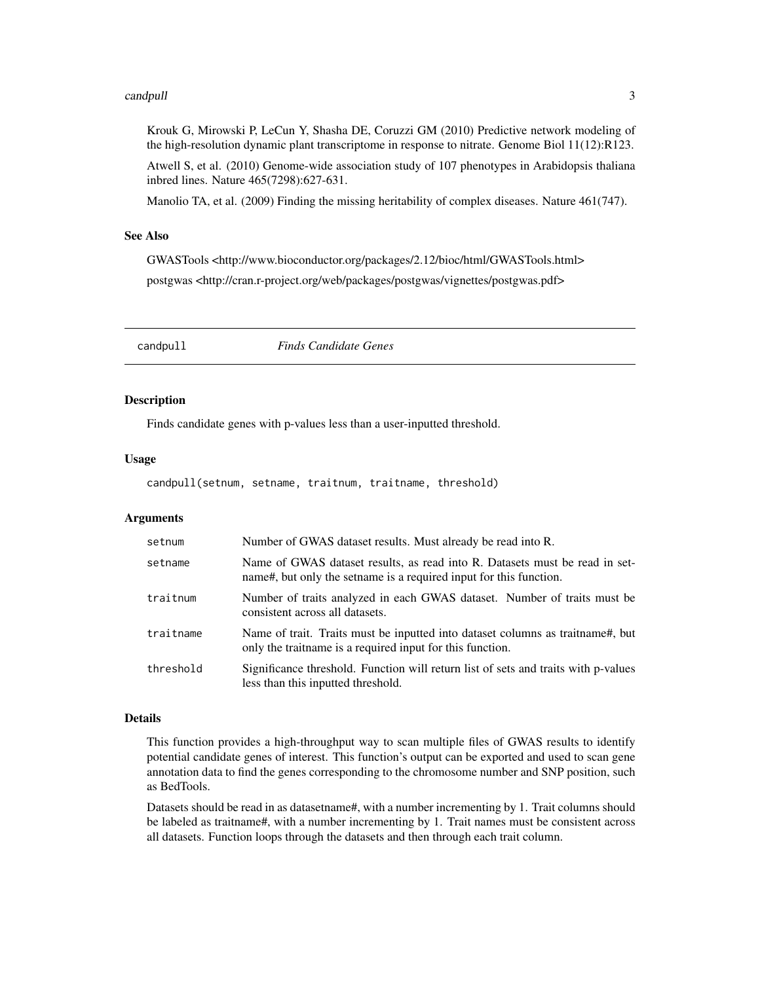#### <span id="page-2-0"></span>candpull 3

Krouk G, Mirowski P, LeCun Y, Shasha DE, Coruzzi GM (2010) Predictive network modeling of the high-resolution dynamic plant transcriptome in response to nitrate. Genome Biol 11(12):R123.

Atwell S, et al. (2010) Genome-wide association study of 107 phenotypes in Arabidopsis thaliana inbred lines. Nature 465(7298):627-631.

Manolio TA, et al. (2009) Finding the missing heritability of complex diseases. Nature 461(747).

#### See Also

GWASTools <http://www.bioconductor.org/packages/2.12/bioc/html/GWASTools.html> postgwas <http://cran.r-project.org/web/packages/postgwas/vignettes/postgwas.pdf>

candpull *Finds Candidate Genes*

#### Description

Finds candidate genes with p-values less than a user-inputted threshold.

#### Usage

candpull(setnum, setname, traitnum, traitname, threshold)

#### Arguments

| setnum    | Number of GWAS dataset results. Must already be read into R.                                                                                       |
|-----------|----------------------------------------------------------------------------------------------------------------------------------------------------|
| setname   | Name of GWAS dataset results, as read into R. Datasets must be read in set-<br>name#, but only the set area is a required input for this function. |
| traitnum  | Number of traits analyzed in each GWAS dataset. Number of traits must be<br>consistent across all datasets.                                        |
| traitname | Name of trait. Traits must be inputted into dataset columns as traitname#, but<br>only the traitmame is a required input for this function.        |
| threshold | Significance threshold. Function will return list of sets and traits with p-values<br>less than this inputted threshold.                           |

#### Details

This function provides a high-throughput way to scan multiple files of GWAS results to identify potential candidate genes of interest. This function's output can be exported and used to scan gene annotation data to find the genes corresponding to the chromosome number and SNP position, such as BedTools.

Datasets should be read in as datasetname#, with a number incrementing by 1. Trait columns should be labeled as traitname#, with a number incrementing by 1. Trait names must be consistent across all datasets. Function loops through the datasets and then through each trait column.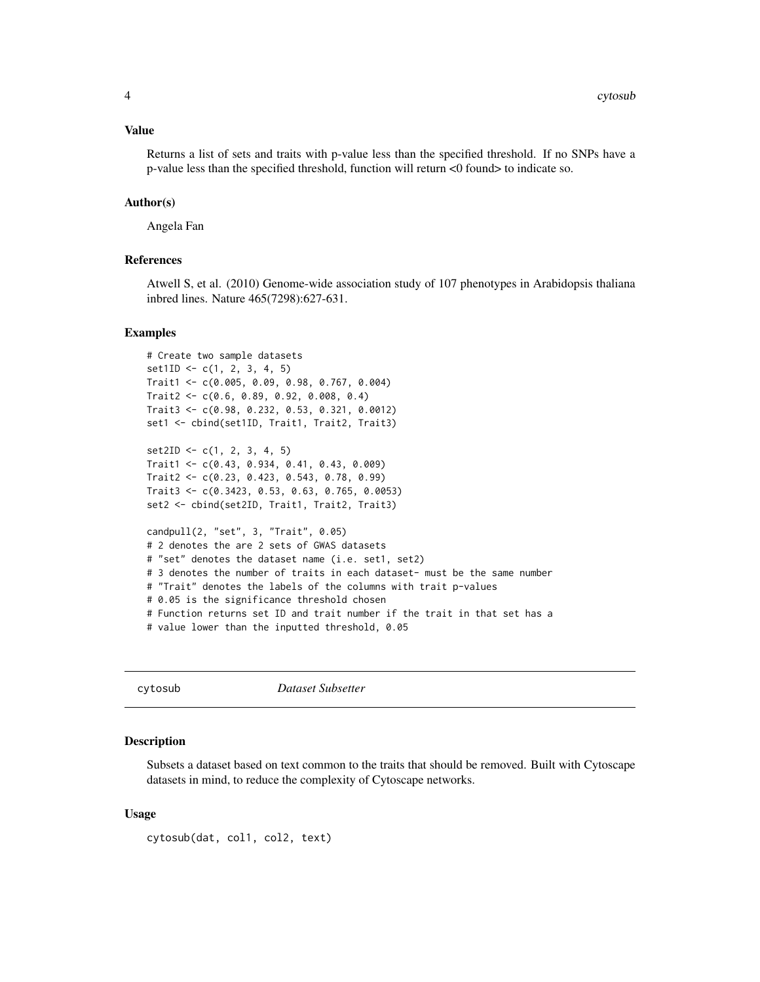#### <span id="page-3-0"></span>Value

Returns a list of sets and traits with p-value less than the specified threshold. If no SNPs have a p-value less than the specified threshold, function will return <0 found> to indicate so.

#### Author(s)

Angela Fan

### References

Atwell S, et al. (2010) Genome-wide association study of 107 phenotypes in Arabidopsis thaliana inbred lines. Nature 465(7298):627-631.

#### Examples

```
# Create two sample datasets
set1ID \leftarrow c(1, 2, 3, 4, 5)Trait1 <- c(0.005, 0.09, 0.98, 0.767, 0.004)
Trait2 <- c(0.6, 0.89, 0.92, 0.008, 0.4)
Trait3 <- c(0.98, 0.232, 0.53, 0.321, 0.0012)
set1 <- cbind(set1ID, Trait1, Trait2, Trait3)
set2ID \leftarrow c(1, 2, 3, 4, 5)Trait1 <- c(0.43, 0.934, 0.41, 0.43, 0.009)
Trait2 <- c(0.23, 0.423, 0.543, 0.78, 0.99)
Trait3 <- c(0.3423, 0.53, 0.63, 0.765, 0.0053)
set2 <- cbind(set2ID, Trait1, Trait2, Trait3)
candpull(2, "set", 3, "Trait", 0.05)
# 2 denotes the are 2 sets of GWAS datasets
# "set" denotes the dataset name (i.e. set1, set2)
# 3 denotes the number of traits in each dataset- must be the same number
# "Trait" denotes the labels of the columns with trait p-values
# 0.05 is the significance threshold chosen
# Function returns set ID and trait number if the trait in that set has a
# value lower than the inputted threshold, 0.05
```
cytosub *Dataset Subsetter*

#### Description

Subsets a dataset based on text common to the traits that should be removed. Built with Cytoscape datasets in mind, to reduce the complexity of Cytoscape networks.

#### Usage

cytosub(dat, col1, col2, text)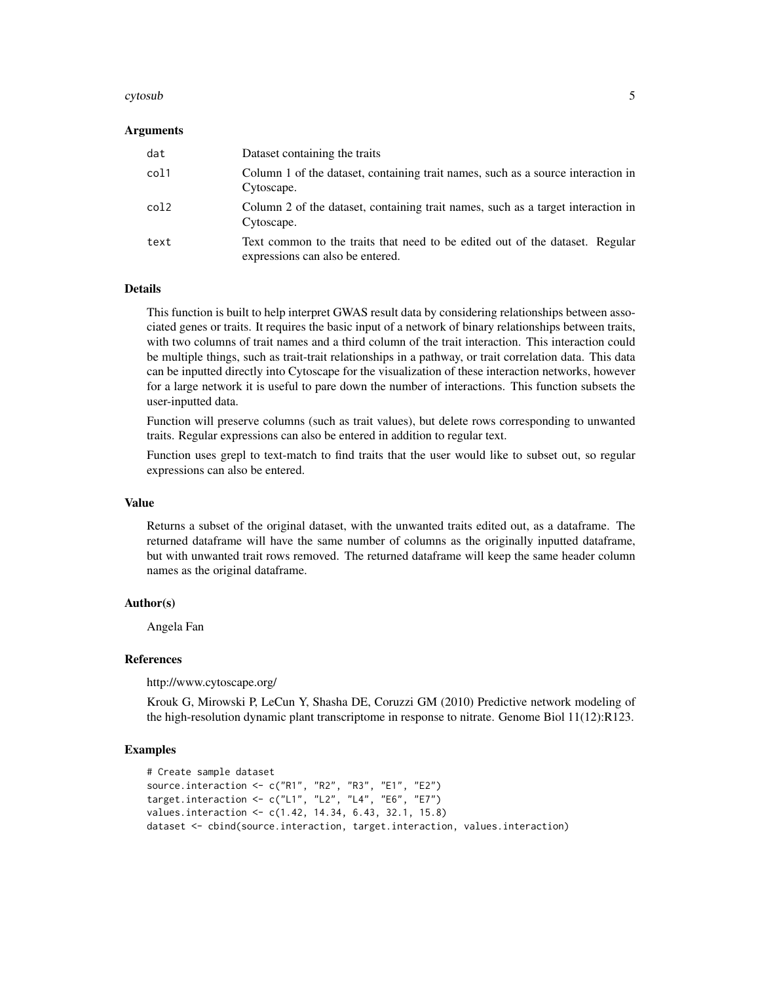#### cytosub 5

#### Arguments

| dat  | Dataset containing the traits                                                                                    |
|------|------------------------------------------------------------------------------------------------------------------|
| col1 | Column 1 of the dataset, containing trait names, such as a source interaction in<br>Cytoscape.                   |
| col2 | Column 2 of the dataset, containing trait names, such as a target interaction in<br>Cytoscape.                   |
| text | Text common to the traits that need to be edited out of the dataset. Regular<br>expressions can also be entered. |

#### Details

This function is built to help interpret GWAS result data by considering relationships between associated genes or traits. It requires the basic input of a network of binary relationships between traits, with two columns of trait names and a third column of the trait interaction. This interaction could be multiple things, such as trait-trait relationships in a pathway, or trait correlation data. This data can be inputted directly into Cytoscape for the visualization of these interaction networks, however for a large network it is useful to pare down the number of interactions. This function subsets the user-inputted data.

Function will preserve columns (such as trait values), but delete rows corresponding to unwanted traits. Regular expressions can also be entered in addition to regular text.

Function uses grepl to text-match to find traits that the user would like to subset out, so regular expressions can also be entered.

#### Value

Returns a subset of the original dataset, with the unwanted traits edited out, as a dataframe. The returned dataframe will have the same number of columns as the originally inputted dataframe, but with unwanted trait rows removed. The returned dataframe will keep the same header column names as the original dataframe.

#### Author(s)

Angela Fan

#### **References**

http://www.cytoscape.org/

Krouk G, Mirowski P, LeCun Y, Shasha DE, Coruzzi GM (2010) Predictive network modeling of the high-resolution dynamic plant transcriptome in response to nitrate. Genome Biol 11(12):R123.

#### Examples

```
# Create sample dataset
source.interaction <- c("R1", "R2", "R3", "E1", "E2")
target.interaction <- c("L1", "L2", "L4", "E6", "E7")
values.interaction <- c(1.42, 14.34, 6.43, 32.1, 15.8)
dataset <- cbind(source.interaction, target.interaction, values.interaction)
```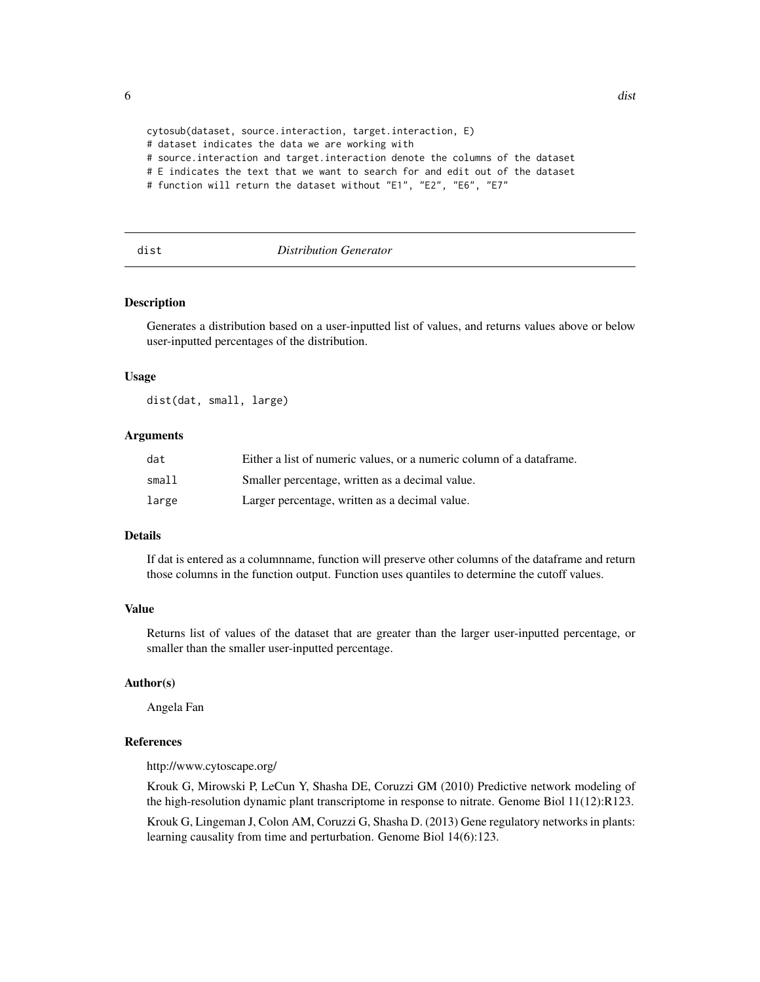```
cytosub(dataset, source.interaction, target.interaction, E)
# dataset indicates the data we are working with
# source.interaction and target.interaction denote the columns of the dataset
# E indicates the text that we want to search for and edit out of the dataset
# function will return the dataset without "E1", "E2", "E6", "E7"
```
#### dist *Distribution Generator*

#### Description

Generates a distribution based on a user-inputted list of values, and returns values above or below user-inputted percentages of the distribution.

#### Usage

dist(dat, small, large)

#### Arguments

| dat    | Either a list of numeric values, or a numeric column of a data frame. |
|--------|-----------------------------------------------------------------------|
| small1 | Smaller percentage, written as a decimal value.                       |
| large  | Larger percentage, written as a decimal value.                        |

#### Details

If dat is entered as a columnname, function will preserve other columns of the dataframe and return those columns in the function output. Function uses quantiles to determine the cutoff values.

#### Value

Returns list of values of the dataset that are greater than the larger user-inputted percentage, or smaller than the smaller user-inputted percentage.

#### Author(s)

Angela Fan

#### References

http://www.cytoscape.org/

Krouk G, Mirowski P, LeCun Y, Shasha DE, Coruzzi GM (2010) Predictive network modeling of the high-resolution dynamic plant transcriptome in response to nitrate. Genome Biol 11(12):R123.

Krouk G, Lingeman J, Colon AM, Coruzzi G, Shasha D. (2013) Gene regulatory networks in plants: learning causality from time and perturbation. Genome Biol 14(6):123.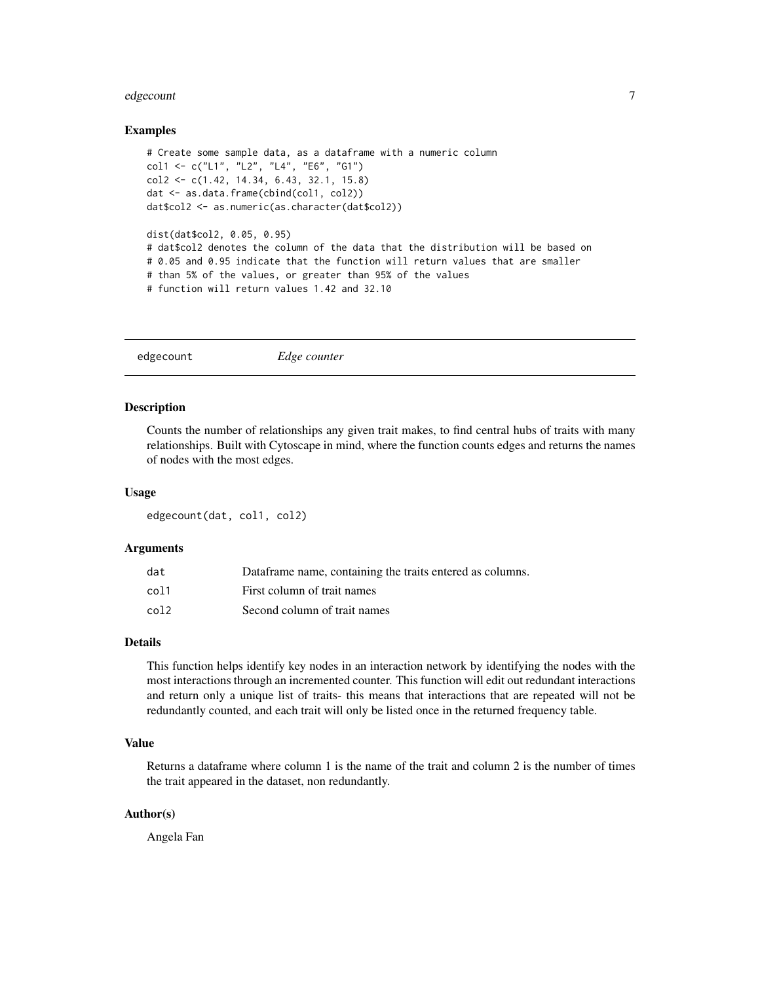#### <span id="page-6-0"></span>edgecount 7 and 7 and 7 and 7 and 7 and 7 and 7 and 7 and 7 and 7 and 7 and 7 and 7 and 7 and 7 and 7 and 7 and 7 and 7 and 7 and 7 and 7 and 7 and 7 and 7 and 7 and 7 and 7 and 7 and 7 and 7 and 7 and 7 and 7 and 7 and 7

#### Examples

```
# Create some sample data, as a dataframe with a numeric column
col1 <- c("L1", "L2", "L4", "E6", "G1")
col2 <- c(1.42, 14.34, 6.43, 32.1, 15.8)
dat <- as.data.frame(cbind(col1, col2))
dat$col2 <- as.numeric(as.character(dat$col2))
dist(dat$col2, 0.05, 0.95)
# dat$col2 denotes the column of the data that the distribution will be based on
# 0.05 and 0.95 indicate that the function will return values that are smaller
# than 5% of the values, or greater than 95% of the values
# function will return values 1.42 and 32.10
```
edgecount *Edge counter*

#### Description

Counts the number of relationships any given trait makes, to find central hubs of traits with many relationships. Built with Cytoscape in mind, where the function counts edges and returns the names of nodes with the most edges.

#### Usage

edgecount(dat, col1, col2)

#### Arguments

| dat  | Dataframe name, containing the traits entered as columns. |
|------|-----------------------------------------------------------|
| col1 | First column of trait names                               |
| col2 | Second column of trait names                              |

#### Details

This function helps identify key nodes in an interaction network by identifying the nodes with the most interactions through an incremented counter. This function will edit out redundant interactions and return only a unique list of traits- this means that interactions that are repeated will not be redundantly counted, and each trait will only be listed once in the returned frequency table.

#### Value

Returns a dataframe where column 1 is the name of the trait and column 2 is the number of times the trait appeared in the dataset, non redundantly.

#### Author(s)

Angela Fan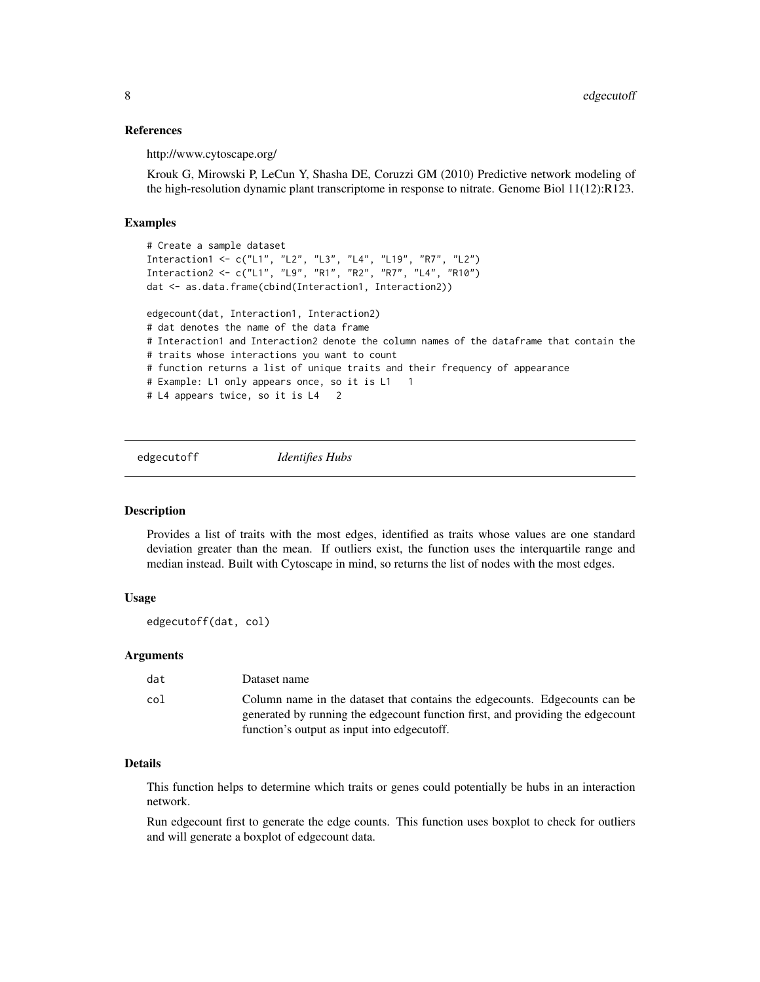#### <span id="page-7-0"></span>References

http://www.cytoscape.org/

Krouk G, Mirowski P, LeCun Y, Shasha DE, Coruzzi GM (2010) Predictive network modeling of the high-resolution dynamic plant transcriptome in response to nitrate. Genome Biol 11(12):R123.

#### Examples

```
# Create a sample dataset
Interaction1 <- c("L1", "L2", "L3", "L4", "L19", "R7", "L2")
Interaction2 <- c("L1", "L9", "R1", "R2", "R7", "L4", "R10")
dat <- as.data.frame(cbind(Interaction1, Interaction2))
edgecount(dat, Interaction1, Interaction2)
# dat denotes the name of the data frame
# Interaction1 and Interaction2 denote the column names of the dataframe that contain the
# traits whose interactions you want to count
# function returns a list of unique traits and their frequency of appearance
# Example: L1 only appears once, so it is L1 1
# L4 appears twice, so it is L4 2
```
edgecutoff *Identifies Hubs*

#### Description

Provides a list of traits with the most edges, identified as traits whose values are one standard deviation greater than the mean. If outliers exist, the function uses the interquartile range and median instead. Built with Cytoscape in mind, so returns the list of nodes with the most edges.

#### Usage

```
edgecutoff(dat, col)
```
#### Arguments

| dat | Dataset name                                                                                                                                                                                                    |
|-----|-----------------------------------------------------------------------------------------------------------------------------------------------------------------------------------------------------------------|
| col | Column name in the dataset that contains the edge counts. Edge counts can be<br>generated by running the edge count function first, and providing the edge count<br>function's output as input into edgecutoff. |

### Details

This function helps to determine which traits or genes could potentially be hubs in an interaction network.

Run edgecount first to generate the edge counts. This function uses boxplot to check for outliers and will generate a boxplot of edgecount data.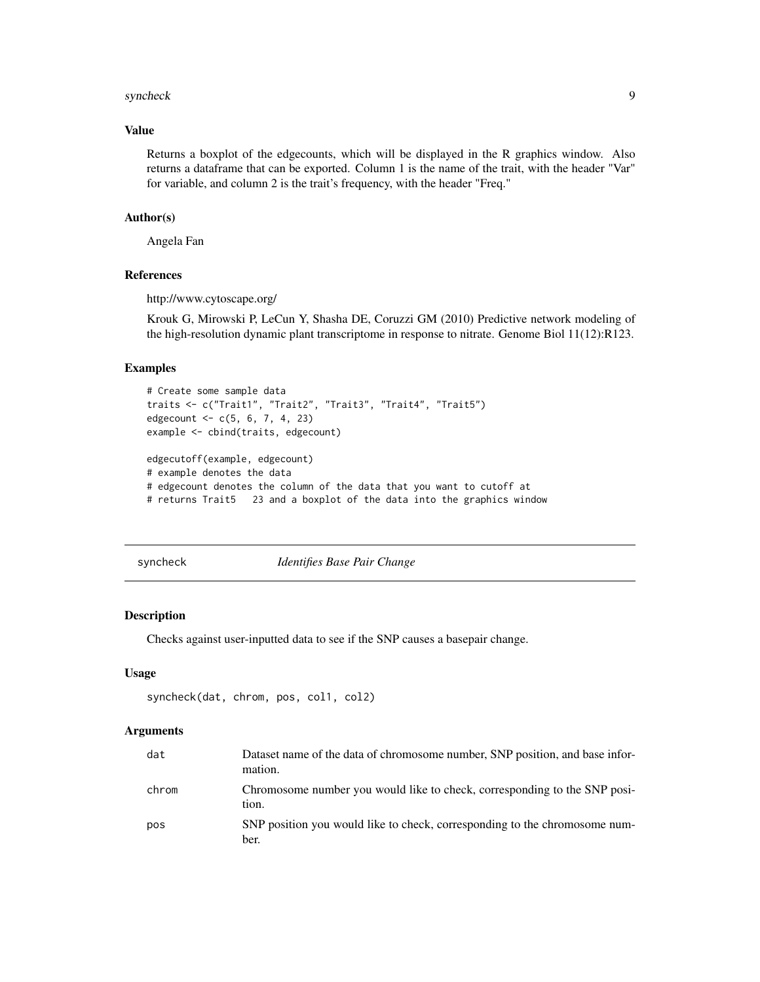#### <span id="page-8-0"></span>syncheck 9

#### Value

Returns a boxplot of the edgecounts, which will be displayed in the R graphics window. Also returns a dataframe that can be exported. Column 1 is the name of the trait, with the header "Var" for variable, and column 2 is the trait's frequency, with the header "Freq."

#### Author(s)

Angela Fan

#### References

http://www.cytoscape.org/

Krouk G, Mirowski P, LeCun Y, Shasha DE, Coruzzi GM (2010) Predictive network modeling of the high-resolution dynamic plant transcriptome in response to nitrate. Genome Biol 11(12):R123.

### Examples

```
# Create some sample data
traits <- c("Trait1", "Trait2", "Trait3", "Trait4", "Trait5")
edgecount <- c(5, 6, 7, 4, 23)
example <- cbind(traits, edgecount)
edgecutoff(example, edgecount)
# example denotes the data
# edgecount denotes the column of the data that you want to cutoff at
# returns Trait5 23 and a boxplot of the data into the graphics window
```
syncheck *Identifies Base Pair Change*

#### Description

Checks against user-inputted data to see if the SNP causes a basepair change.

#### Usage

```
syncheck(dat, chrom, pos, col1, col2)
```
#### Arguments

| dat   | Dataset name of the data of chromosome number, SNP position, and base infor-<br>mation. |
|-------|-----------------------------------------------------------------------------------------|
| chrom | Chromosome number you would like to check, corresponding to the SNP posi-<br>tion.      |
| pos   | SNP position you would like to check, corresponding to the chromosome num-<br>ber.      |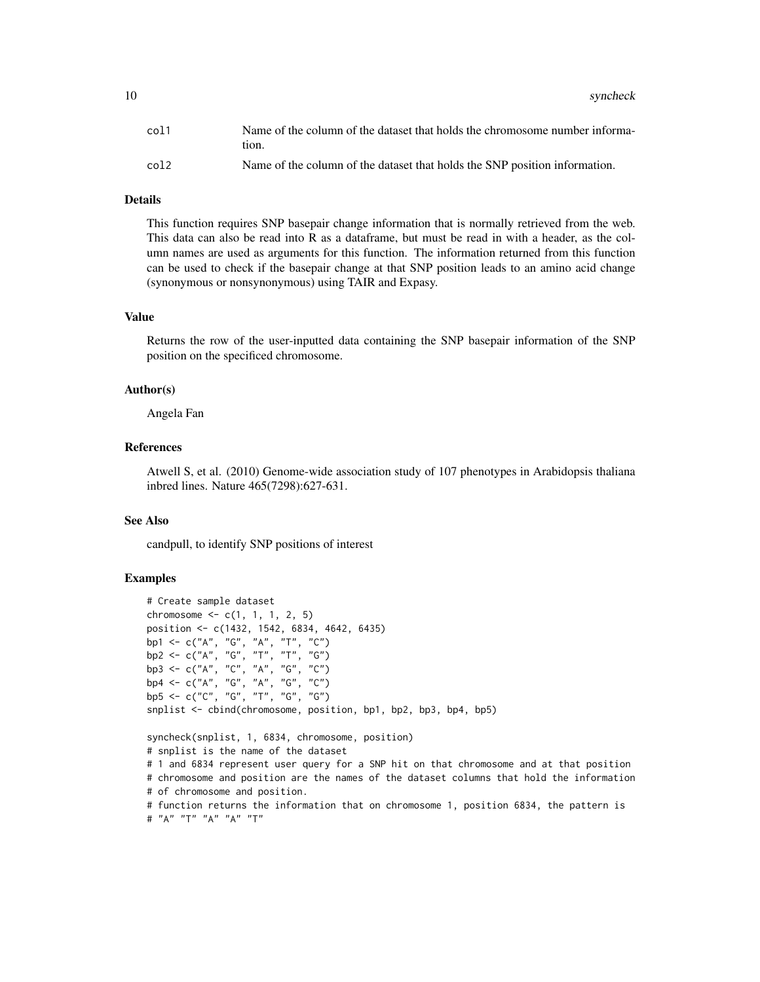10 syncheck

| col1  | Name of the column of the dataset that holds the chromosome number informa-<br>tion. |
|-------|--------------------------------------------------------------------------------------|
| col 2 | Name of the column of the dataset that holds the SNP position information.           |

#### Details

This function requires SNP basepair change information that is normally retrieved from the web. This data can also be read into R as a dataframe, but must be read in with a header, as the column names are used as arguments for this function. The information returned from this function can be used to check if the basepair change at that SNP position leads to an amino acid change (synonymous or nonsynonymous) using TAIR and Expasy.

#### Value

Returns the row of the user-inputted data containing the SNP basepair information of the SNP position on the specificed chromosome.

#### Author(s)

Angela Fan

#### References

Atwell S, et al. (2010) Genome-wide association study of 107 phenotypes in Arabidopsis thaliana inbred lines. Nature 465(7298):627-631.

#### See Also

candpull, to identify SNP positions of interest

#### Examples

```
# Create sample dataset
chromosome <-c(1, 1, 1, 2, 5)position <- c(1432, 1542, 6834, 4642, 6435)
bp1 <- c("A", "G", "A", "T", "C")
bp2 <- c("A", "G", "T", "T", "G")
bp3 <- c("A", "C", "A", "G", "C")
bp4 <- c("A", "G", "A", "G", "C")
bp5 <- c("C", "G", "T", "G", "G")
snplist <- cbind(chromosome, position, bp1, bp2, bp3, bp4, bp5)
syncheck(snplist, 1, 6834, chromosome, position)
# snplist is the name of the dataset
# 1 and 6834 represent user query for a SNP hit on that chromosome and at that position
# chromosome and position are the names of the dataset columns that hold the information
# of chromosome and position.
# function returns the information that on chromosome 1, position 6834, the pattern is
# "A" "T" "A" "A" "T"
```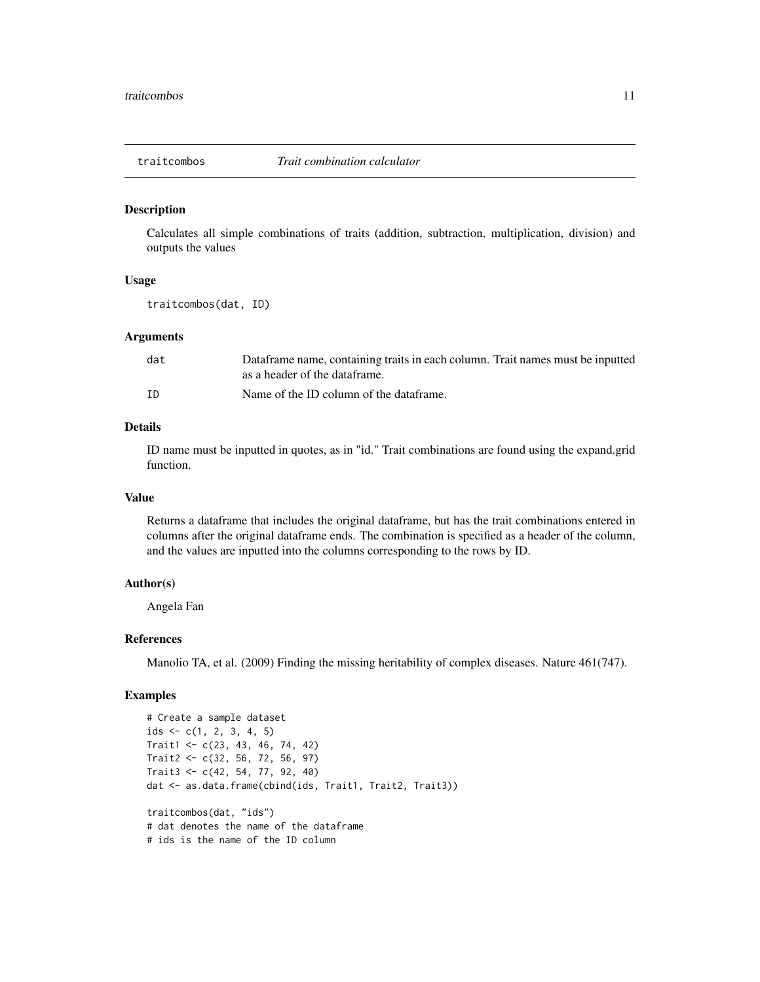<span id="page-10-0"></span>

#### Description

Calculates all simple combinations of traits (addition, subtraction, multiplication, division) and outputs the values

#### Usage

traitcombos(dat, ID)

#### **Arguments**

| dat | Dataframe name, containing traits in each column. Trait names must be inputted<br>as a header of the dataframe. |
|-----|-----------------------------------------------------------------------------------------------------------------|
| ΙD  | Name of the ID column of the dataframe.                                                                         |

#### Details

ID name must be inputted in quotes, as in "id." Trait combinations are found using the expand.grid function.

#### Value

Returns a dataframe that includes the original dataframe, but has the trait combinations entered in columns after the original dataframe ends. The combination is specified as a header of the column, and the values are inputted into the columns corresponding to the rows by ID.

#### Author(s)

Angela Fan

#### References

Manolio TA, et al. (2009) Finding the missing heritability of complex diseases. Nature 461(747).

#### Examples

```
# Create a sample dataset
ids \leq c(1, 2, 3, 4, 5)Trait1 <- c(23, 43, 46, 74, 42)
Trait2 < -c(32, 56, 72, 56, 97)Trait3 <- c(42, 54, 77, 92, 40)
dat <- as.data.frame(cbind(ids, Trait1, Trait2, Trait3))
traitcombos(dat, "ids")
# dat denotes the name of the dataframe
# ids is the name of the ID column
```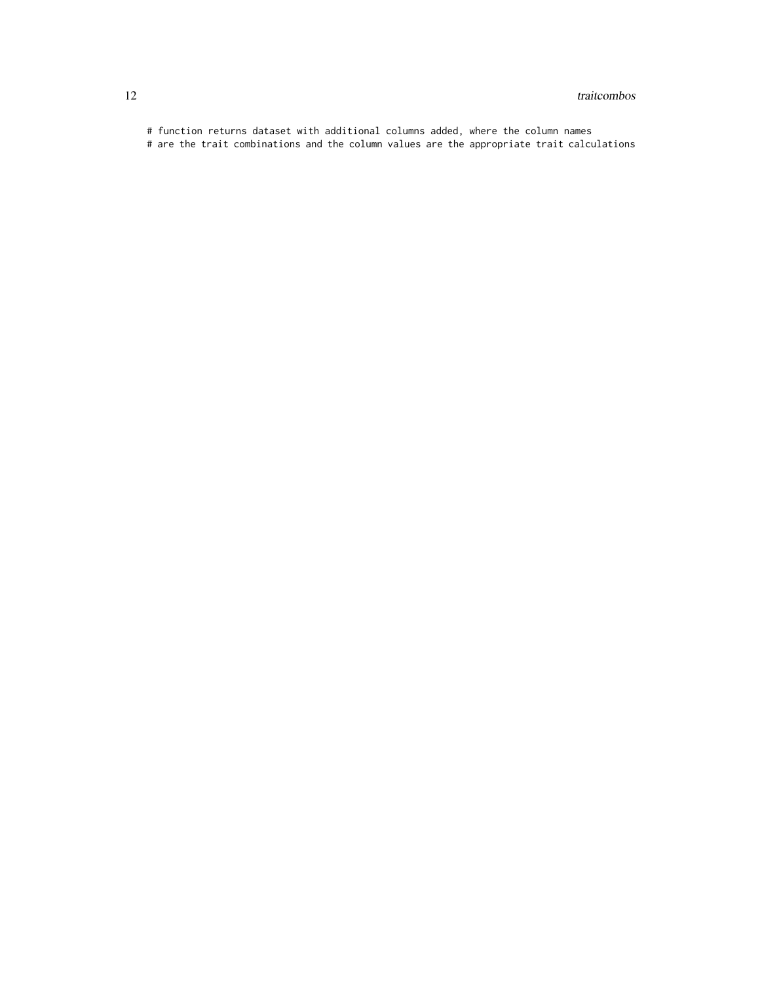# function returns dataset with additional columns added, where the column names

# are the trait combinations and the column values are the appropriate trait calculations